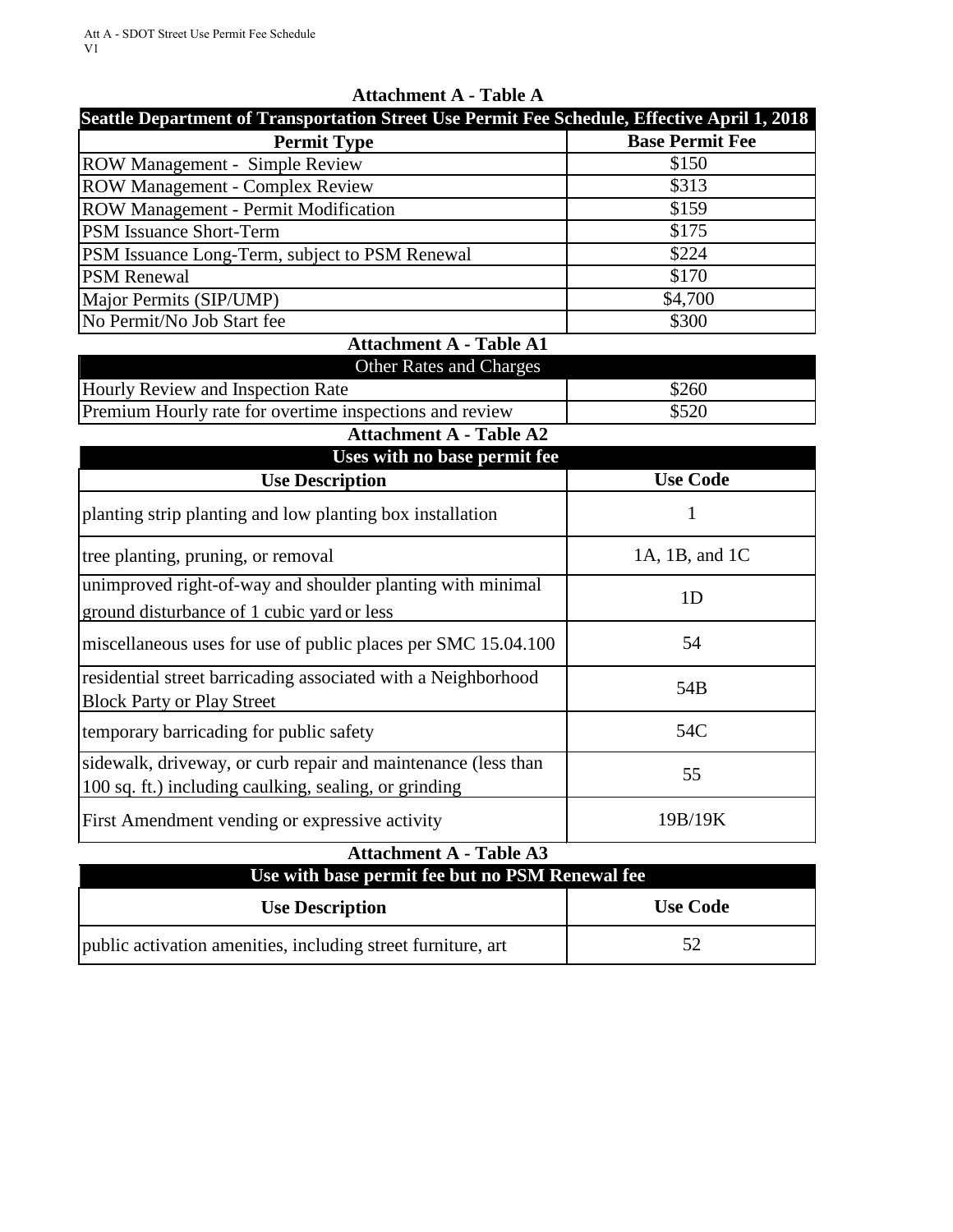| $A$ uachment $A$ - Table $A$                                                                 |                        |  |
|----------------------------------------------------------------------------------------------|------------------------|--|
| Seattle Department of Transportation Street Use Permit Fee Schedule, Effective April 1, 2018 |                        |  |
| <b>Permit Type</b>                                                                           | <b>Base Permit Fee</b> |  |
| <b>ROW Management - Simple Review</b>                                                        | \$150                  |  |
| <b>ROW Management - Complex Review</b>                                                       | \$313                  |  |
| <b>ROW Management - Permit Modification</b>                                                  | \$159                  |  |
| <b>PSM Issuance Short-Term</b>                                                               | \$175                  |  |
| PSM Issuance Long-Term, subject to PSM Renewal                                               | \$224                  |  |
| <b>PSM</b> Renewal                                                                           | \$170                  |  |
| Major Permits (SIP/UMP)                                                                      | \$4,700                |  |
| No Permit/No Job Start fee                                                                   | \$300                  |  |
| .                                                                                            |                        |  |

### **Attachment A - Table A**

#### **Attachment A - Table A1**

| <b>Other Rates and Charges</b>                          |       |
|---------------------------------------------------------|-------|
| Hourly Review and Inspection Rate                       | \$260 |
| Premium Hourly rate for overtime inspections and review | \$520 |

# **Attachment A - Table A2**

| Uses with no base permit fee<br><b>Use Code</b>                                                                        |                |  |
|------------------------------------------------------------------------------------------------------------------------|----------------|--|
| <b>Use Description</b>                                                                                                 |                |  |
| planting strip planting and low planting box installation                                                              | 1              |  |
| tree planting, pruning, or removal                                                                                     | 1A, 1B, and 1C |  |
| unimproved right-of-way and shoulder planting with minimal<br>ground disturbance of 1 cubic yard or less               | 1 <sub>D</sub> |  |
| miscellaneous uses for use of public places per SMC 15.04.100                                                          | 54             |  |
| residential street barricading associated with a Neighborhood<br><b>Block Party or Play Street</b>                     | 54B            |  |
| temporary barricading for public safety                                                                                | 54C            |  |
| sidewalk, driveway, or curb repair and maintenance (less than<br>100 sq. ft.) including caulking, sealing, or grinding | 55             |  |
| First Amendment vending or expressive activity                                                                         | 19B/19K        |  |

#### **Attachment A - Table A3**

| Use with base permit fee but no PSM Renewal fee              |                 |  |
|--------------------------------------------------------------|-----------------|--|
| <b>Use Description</b>                                       | <b>Use Code</b> |  |
| public activation amenities, including street furniture, art | 52              |  |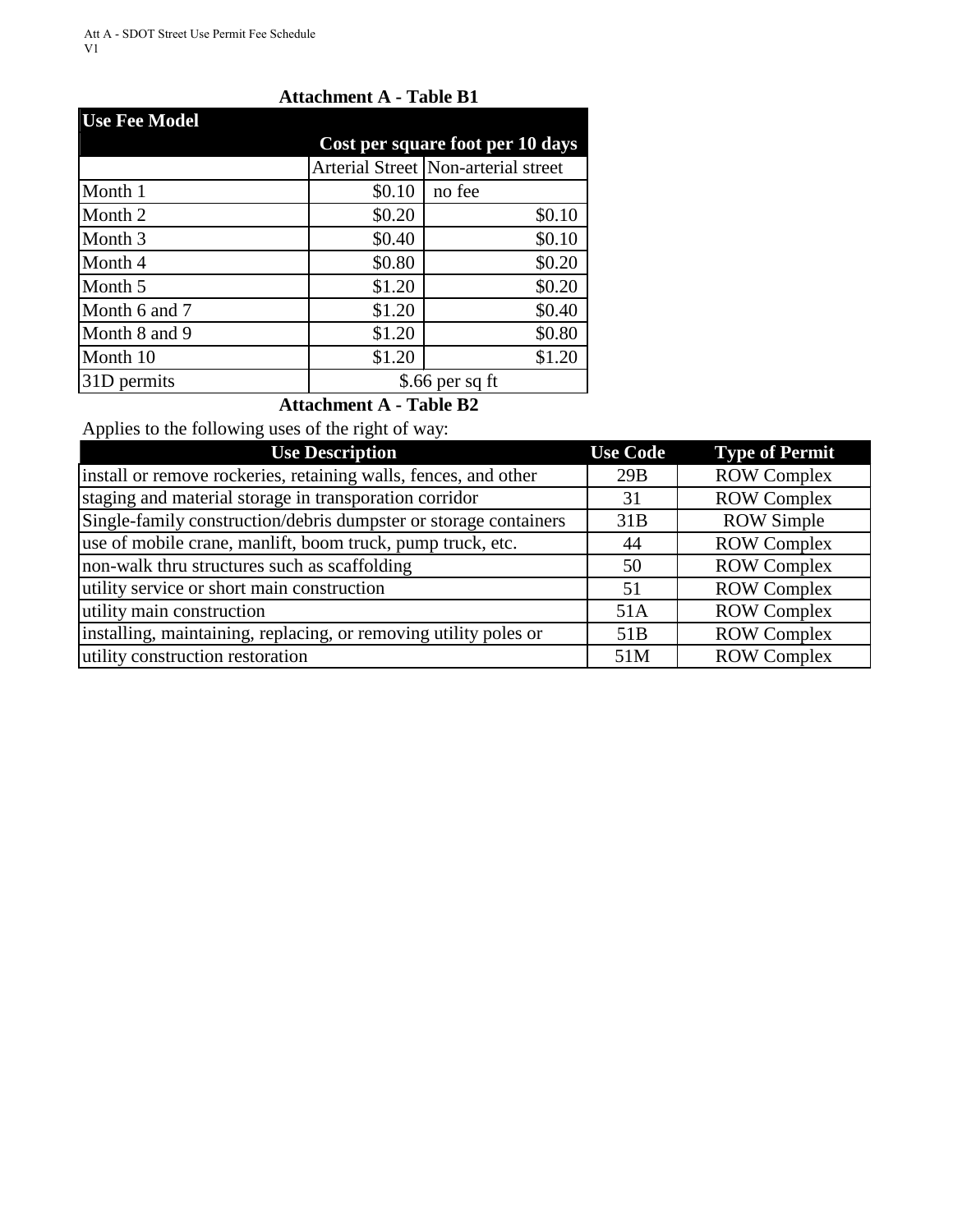#### **Attachment A - Table B1**

| <b>Use Fee Model</b> |                                  |                                     |  |
|----------------------|----------------------------------|-------------------------------------|--|
|                      | Cost per square foot per 10 days |                                     |  |
|                      |                                  | Arterial Street Non-arterial street |  |
| Month 1              | \$0.10                           | no fee                              |  |
| Month 2              | \$0.20                           | \$0.10                              |  |
| Month <sub>3</sub>   | \$0.40                           | \$0.10                              |  |
| Month 4              | \$0.80                           | \$0.20                              |  |
| Month 5              | \$1.20                           | \$0.20                              |  |
| Month 6 and 7        | \$1.20                           | \$0.40                              |  |
| Month 8 and 9        | \$1.20                           | \$0.80                              |  |
| Month 10             | \$1.20                           | \$1.20                              |  |
| 31D permits          |                                  | \$.66 per sq ft                     |  |

# **Attachment A - Table B2**

Applies to the following uses of the right of way:

| <b>Use Description</b>                                           | <b>Use Code</b> | <b>Type of Permit</b> |
|------------------------------------------------------------------|-----------------|-----------------------|
| install or remove rockeries, retaining walls, fences, and other  | 29B             | <b>ROW Complex</b>    |
| staging and material storage in transporation corridor           | 31              | <b>ROW Complex</b>    |
| Single-family construction/debris dumpster or storage containers | 31B             | <b>ROW Simple</b>     |
| use of mobile crane, manlift, boom truck, pump truck, etc.       | 44              | <b>ROW Complex</b>    |
| non-walk thru structures such as scaffolding                     | 50              | <b>ROW Complex</b>    |
| utility service or short main construction                       | 51              | <b>ROW Complex</b>    |
| utility main construction                                        | 51A             | <b>ROW Complex</b>    |
| installing, maintaining, replacing, or removing utility poles or | 51B             | <b>ROW Complex</b>    |
| utility construction restoration                                 | 51M             | <b>ROW Complex</b>    |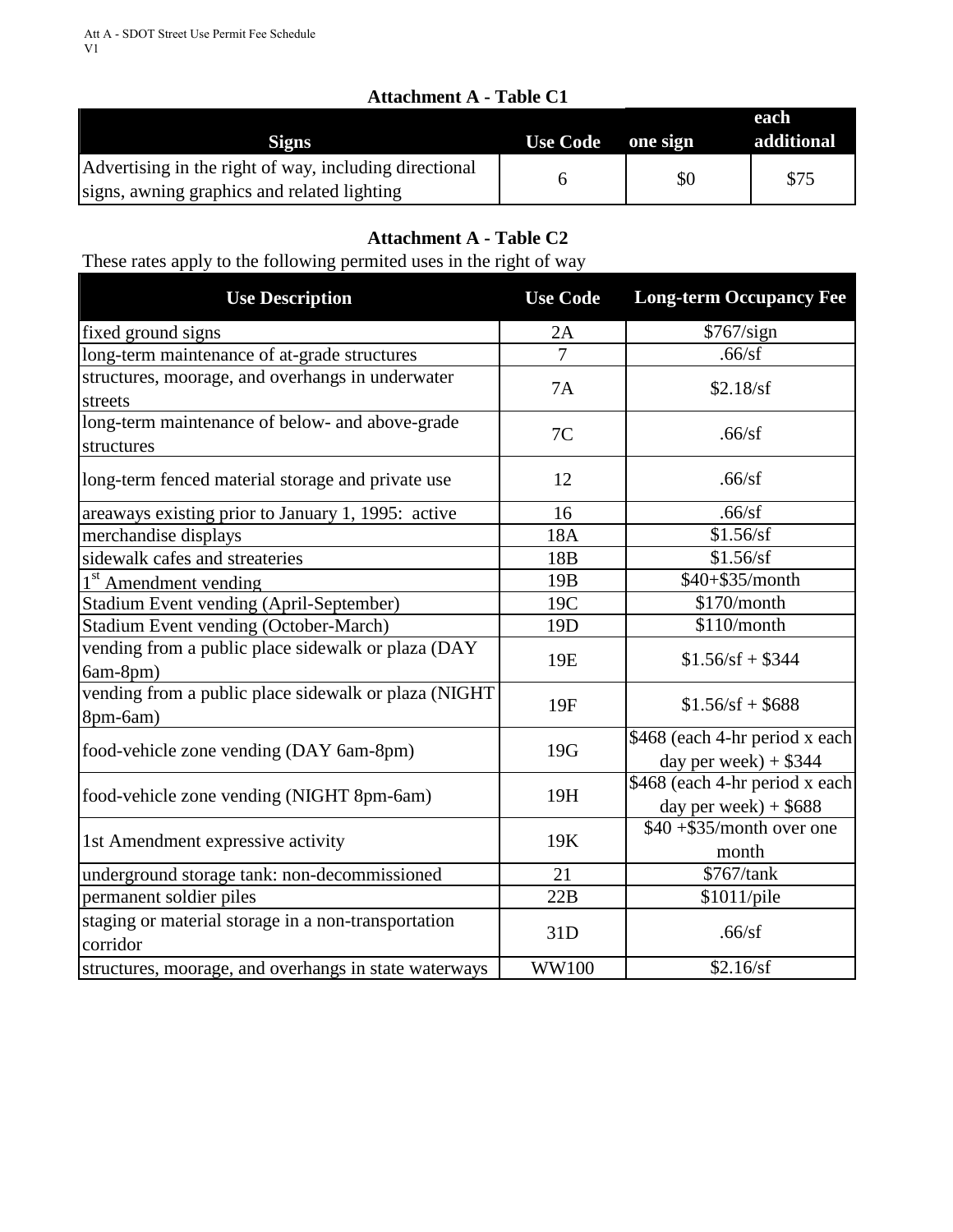## **Attachment A - Table C1**

| $\mathbf{A}$ . The definition of $\mathbf{A}$                                                         |                 |          |                    |
|-------------------------------------------------------------------------------------------------------|-----------------|----------|--------------------|
| <b>Signs</b>                                                                                          | <b>Use Code</b> | one sign | each<br>additional |
| Advertising in the right of way, including directional<br>signs, awning graphics and related lighting |                 | \$0      | \$75               |

# **Attachment A - Table C2**

These rates apply to the following permited uses in the right of way

| <b>Use Description</b>                                           | <b>Use Code</b> | <b>Long-term Occupancy Fee</b>                            |
|------------------------------------------------------------------|-----------------|-----------------------------------------------------------|
| fixed ground signs                                               | 2A              | \$767/sign                                                |
| long-term maintenance of at-grade structures                     | $\overline{7}$  | .66/sf                                                    |
| structures, moorage, and overhangs in underwater<br>streets      | 7A              | \$2.18/sf                                                 |
| long-term maintenance of below- and above-grade<br>structures    | 7C              | .66/sf                                                    |
| long-term fenced material storage and private use                | 12              | .66/sf                                                    |
| areaways existing prior to January 1, 1995: active               | 16              | .66/sf                                                    |
| merchandise displays                                             | 18A             | \$1.56/sf                                                 |
| sidewalk cafes and streateries                                   | 18B             | \$1.56/sf                                                 |
| 1 <sup>st</sup> Amendment vending                                | 19 <sub>B</sub> | \$40+\$35/month                                           |
| Stadium Event vending (April-September)                          | 19C             | \$170/month                                               |
| Stadium Event vending (October-March)                            | 19 <sub>D</sub> | \$110/month                                               |
| vending from a public place sidewalk or plaza (DAY<br>6am-8pm)   | 19E             | $$1.56/sf + $344$                                         |
| vending from a public place sidewalk or plaza (NIGHT<br>8pm-6am) | 19F             | $$1.56/sf + $688$                                         |
| food-vehicle zone vending (DAY 6am-8pm)                          | 19G             | \$468 (each 4-hr period x each<br>day per week $) + $344$ |
| food-vehicle zone vending (NIGHT 8pm-6am)                        | 19H             | \$468 (each 4-hr period x each<br>day per week $) + $688$ |
| 1st Amendment expressive activity                                | 19K             | $$40 + $35/$ month over one<br>month                      |
| underground storage tank: non-decommissioned                     | 21              | \$767/tank                                                |
| permanent soldier piles                                          | 22B             | \$1011/pile                                               |
| staging or material storage in a non-transportation<br>corridor  | 31D             | .66/sf                                                    |
| structures, moorage, and overhangs in state waterways            | <b>WW100</b>    | \$2.16/sf                                                 |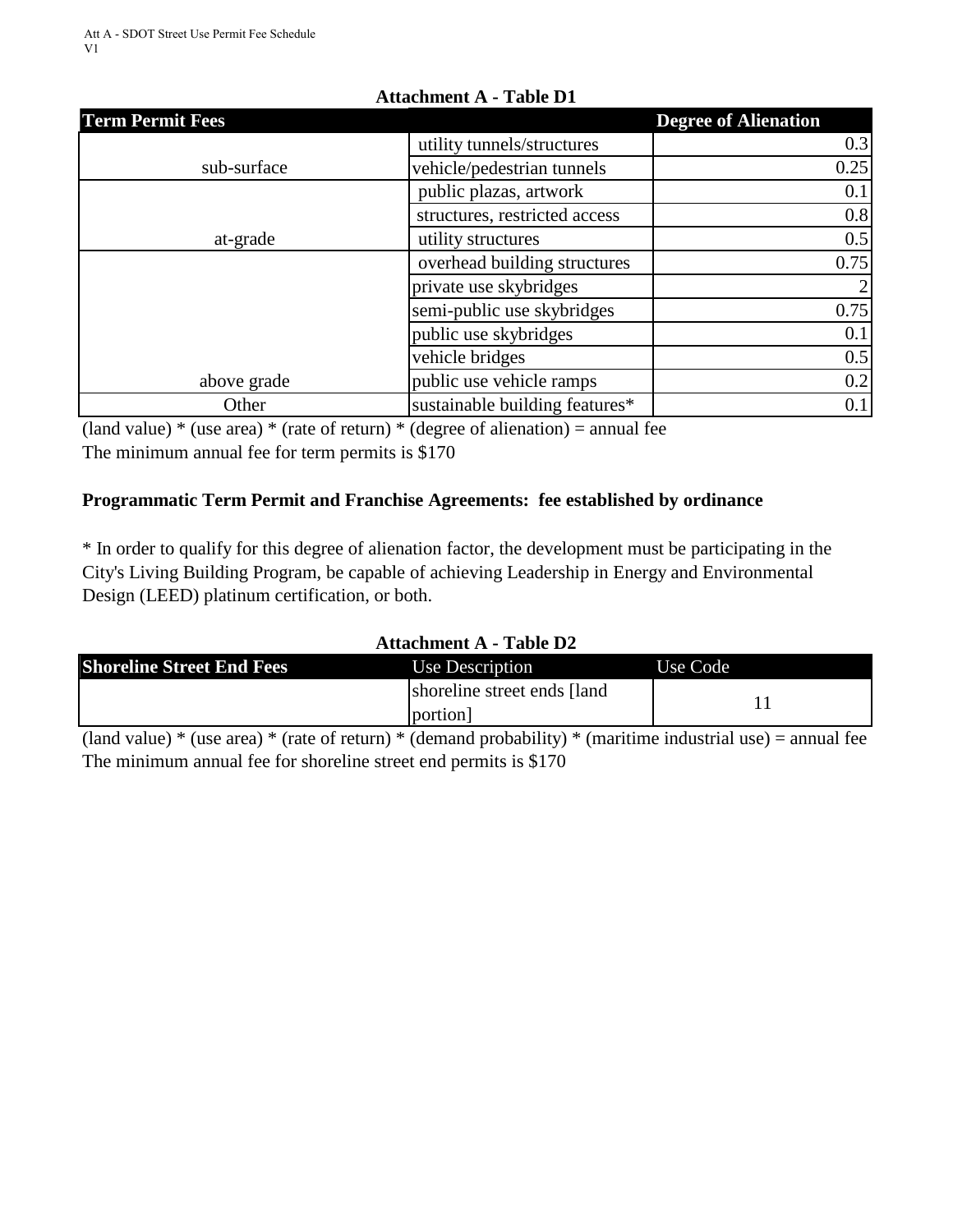| <b>Term Permit Fees</b> |                                | <b>Degree of Alienation</b> |
|-------------------------|--------------------------------|-----------------------------|
|                         | utility tunnels/structures     | 0.3                         |
| sub-surface             | vehicle/pedestrian tunnels     | 0.25                        |
|                         | public plazas, artwork         | 0.1                         |
|                         | structures, restricted access  | 0.8                         |
| at-grade                | utility structures             | 0.5                         |
|                         | overhead building structures   | 0.75                        |
|                         | private use skybridges         | $\overline{2}$              |
|                         | semi-public use skybridges     | 0.75                        |
|                         | public use skybridges          | 0.1                         |
|                         | vehicle bridges                | 0.5                         |
| above grade             | public use vehicle ramps       | 0.2                         |
| Other                   | sustainable building features* | 0.1                         |

# **Attachment A - Table D1**

(land value)  $*$  (use area)  $*$  (rate of return)  $*$  (degree of alienation) = annual fee

The minimum annual fee for term permits is \$170

# **Programmatic Term Permit and Franchise Agreements: fee established by ordinance**

\* In order to qualify for this degree of alienation factor, the development must be participating in the City's Living Building Program, be capable of achieving Leadership in Energy and Environmental Design (LEED) platinum certification, or both.

# **Attachment A - Table D2**

| <b>Shoreline Street End Fees</b>                                                                                                                                                                                                                                                                              | Use Description              | Use Code |
|---------------------------------------------------------------------------------------------------------------------------------------------------------------------------------------------------------------------------------------------------------------------------------------------------------------|------------------------------|----------|
|                                                                                                                                                                                                                                                                                                               | shoreline street ends [land] |          |
|                                                                                                                                                                                                                                                                                                               | portion]                     |          |
| $\sqrt{1}$ 1<br>$\sim$ . $\sim$ . $\sim$ . $\sim$ . $\sim$ . $\sim$ . $\sim$ . $\sim$ . $\sim$ . $\sim$ . $\sim$ . $\sim$ . $\sim$ . $\sim$ . $\sim$ . $\sim$ . $\sim$ . $\sim$ . $\sim$ . $\sim$ . $\sim$ . $\sim$ . $\sim$ . $\sim$ . $\sim$ . $\sim$ . $\sim$ . $\sim$ . $\sim$ . $\sim$ . $\sim$ . $\sim$ |                              |          |

(land value) \* (use area) \* (rate of return) \* (demand probability) \* (maritime industrial use) = annual fee The minimum annual fee for shoreline street end permits is \$170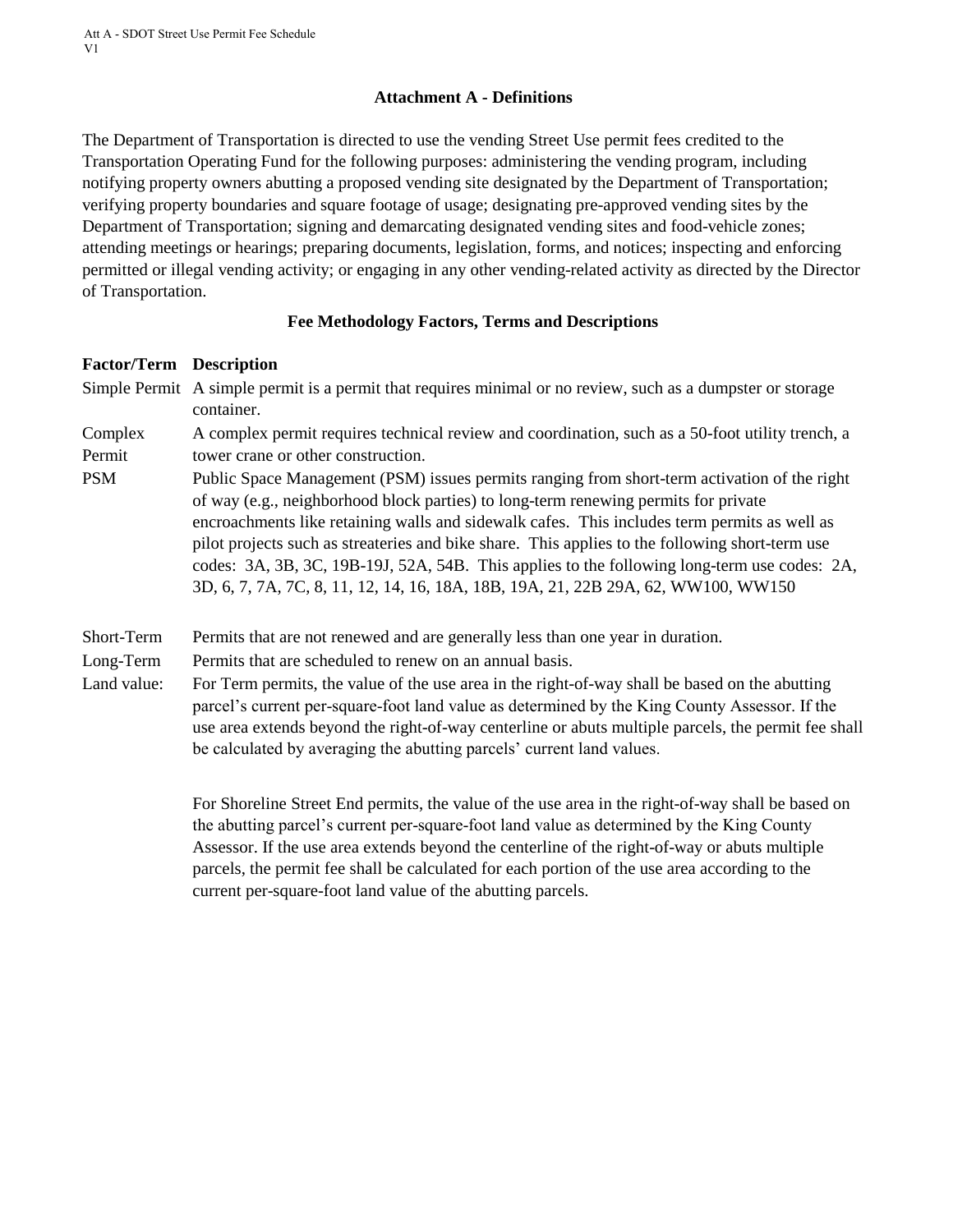#### **Attachment A - Definitions**

The Department of Transportation is directed to use the vending Street Use permit fees credited to the Transportation Operating Fund for the following purposes: administering the vending program, including notifying property owners abutting a proposed vending site designated by the Department of Transportation; verifying property boundaries and square footage of usage; designating pre-approved vending sites by the Department of Transportation; signing and demarcating designated vending sites and food-vehicle zones; attending meetings or hearings; preparing documents, legislation, forms, and notices; inspecting and enforcing permitted or illegal vending activity; or engaging in any other vending-related activity as directed by the Director of Transportation.

#### **Fee Methodology Factors, Terms and Descriptions**

#### **Factor/Term Description**

Simple Permit A simple permit is a permit that requires minimal or no review, such as a dumpster or storage container.

Complex Permit A complex permit requires technical review and coordination, such as a 50-foot utility trench, a tower crane or other construction.

PSM Public Space Management (PSM) issues permits ranging from short-term activation of the right of way (e.g., neighborhood block parties) to long-term renewing permits for private encroachments like retaining walls and sidewalk cafes. This includes term permits as well as pilot projects such as streateries and bike share. This applies to the following short-term use codes: 3A, 3B, 3C, 19B-19J, 52A, 54B. This applies to the following long-term use codes: 2A, 3D, 6, 7, 7A, 7C, 8, 11, 12, 14, 16, 18A, 18B, 19A, 21, 22B 29A, 62, WW100, WW150

Short-Term Permits that are not renewed and are generally less than one year in duration.

Long-Term Permits that are scheduled to renew on an annual basis.

Land value: For Term permits, the value of the use area in the right-of-way shall be based on the abutting parcel's current per-square-foot land value as determined by the King County Assessor. If the use area extends beyond the right-of-way centerline or abuts multiple parcels, the permit fee shall be calculated by averaging the abutting parcels' current land values.

> For Shoreline Street End permits, the value of the use area in the right-of-way shall be based on the abutting parcel's current per-square-foot land value as determined by the King County Assessor. If the use area extends beyond the centerline of the right-of-way or abuts multiple parcels, the permit fee shall be calculated for each portion of the use area according to the current per-square-foot land value of the abutting parcels.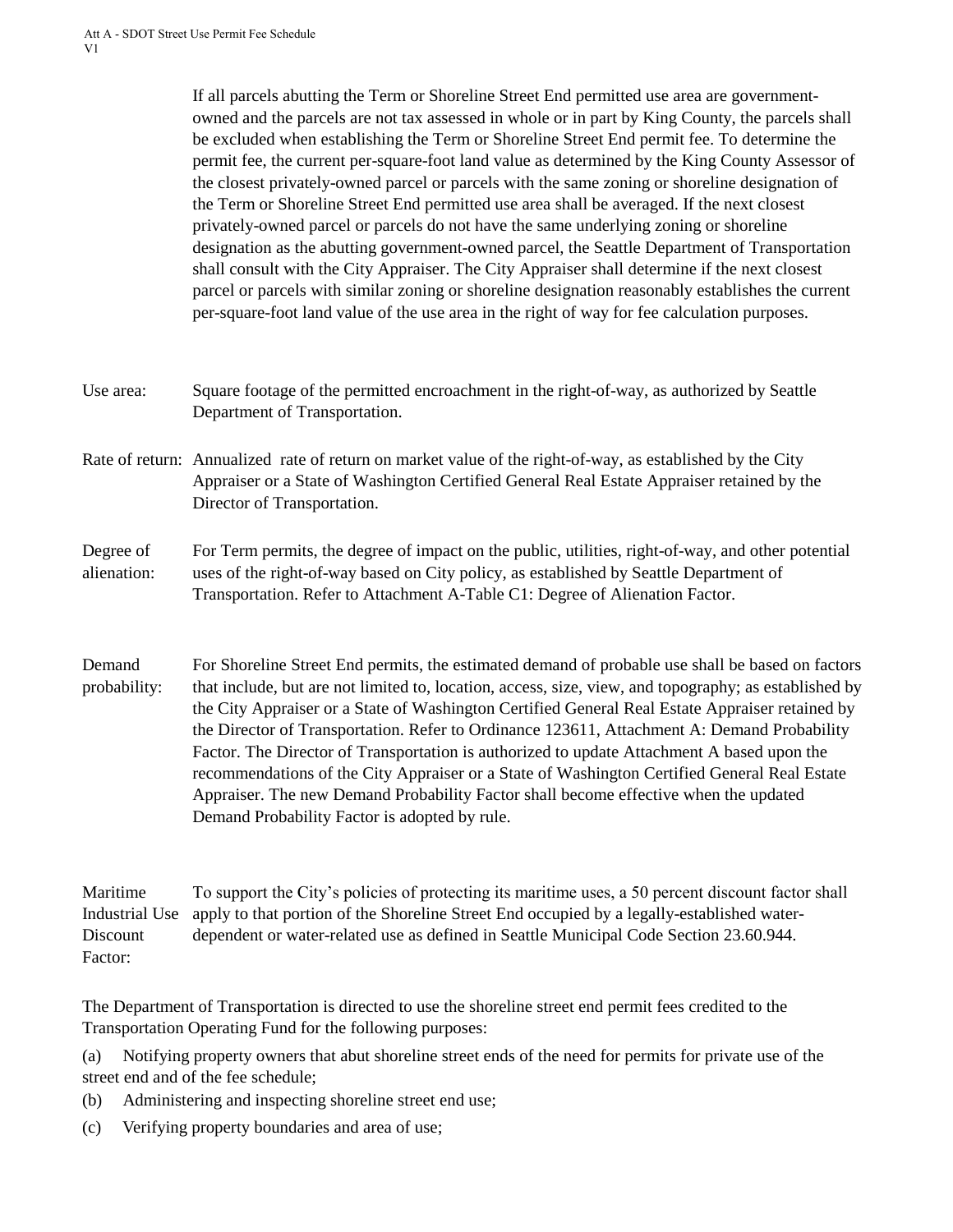If all parcels abutting the Term or Shoreline Street End permitted use area are governmentowned and the parcels are not tax assessed in whole or in part by King County, the parcels shall be excluded when establishing the Term or Shoreline Street End permit fee. To determine the permit fee, the current per-square-foot land value as determined by the King County Assessor of the closest privately-owned parcel or parcels with the same zoning or shoreline designation of the Term or Shoreline Street End permitted use area shall be averaged. If the next closest privately-owned parcel or parcels do not have the same underlying zoning or shoreline designation as the abutting government-owned parcel, the Seattle Department of Transportation shall consult with the City Appraiser. The City Appraiser shall determine if the next closest parcel or parcels with similar zoning or shoreline designation reasonably establishes the current per-square-foot land value of the use area in the right of way for fee calculation purposes.

- Use area: Square footage of the permitted encroachment in the right-of-way, as authorized by Seattle Department of Transportation.
- Rate of return: Annualized rate of return on market value of the right-of-way, as established by the City Appraiser or a State of Washington Certified General Real Estate Appraiser retained by the Director of Transportation.
- Degree of alienation: For Term permits, the degree of impact on the public, utilities, right-of-way, and other potential uses of the right-of-way based on City policy, as established by Seattle Department of Transportation. Refer to Attachment A-Table C1: Degree of Alienation Factor.
- Demand probability: For Shoreline Street End permits, the estimated demand of probable use shall be based on factors that include, but are not limited to, location, access, size, view, and topography; as established by the City Appraiser or a State of Washington Certified General Real Estate Appraiser retained by the Director of Transportation. Refer to Ordinance 123611, Attachment A: Demand Probability Factor. The Director of Transportation is authorized to update Attachment A based upon the recommendations of the City Appraiser or a State of Washington Certified General Real Estate Appraiser. The new Demand Probability Factor shall become effective when the updated Demand Probability Factor is adopted by rule.

Maritime Industrial Use **Discount** Factor: To support the City's policies of protecting its maritime uses, a 50 percent discount factor shall apply to that portion of the Shoreline Street End occupied by a legally-established waterdependent or water-related use as defined in Seattle Municipal Code Section 23.60.944.

The Department of Transportation is directed to use the shoreline street end permit fees credited to the Transportation Operating Fund for the following purposes:

(a) Notifying property owners that abut shoreline street ends of the need for permits for private use of the street end and of the fee schedule;

- (b) Administering and inspecting shoreline street end use;
- (c) Verifying property boundaries and area of use;